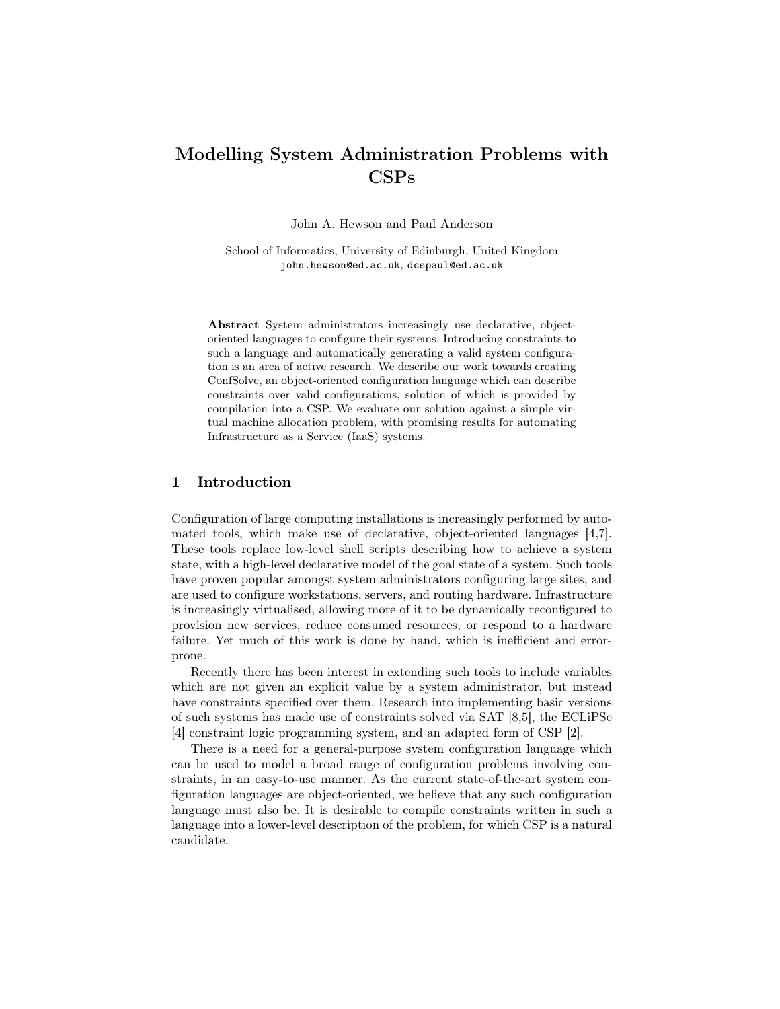# Modelling System Administration Problems with CSPs

John A. Hewson and Paul Anderson

School of Informatics, University of Edinburgh, United Kingdom john.hewson@ed.ac.uk, dcspaul@ed.ac.uk

Abstract System administrators increasingly use declarative, objectoriented languages to configure their systems. Introducing constraints to such a language and automatically generating a valid system configuration is an area of active research. We describe our work towards creating ConfSolve, an object-oriented configuration language which can describe constraints over valid configurations, solution of which is provided by compilation into a CSP. We evaluate our solution against a simple virtual machine allocation problem, with promising results for automating Infrastructure as a Service (IaaS) systems.

# 1 Introduction

Configuration of large computing installations is increasingly performed by automated tools, which make use of declarative, object-oriented languages [\[4](#page-9-0)[,7\]](#page-9-1). These tools replace low-level shell scripts describing how to achieve a system state, with a high-level declarative model of the goal state of a system. Such tools have proven popular amongst system administrators configuring large sites, and are used to configure workstations, servers, and routing hardware. Infrastructure is increasingly virtualised, allowing more of it to be dynamically reconfigured to provision new services, reduce consumed resources, or respond to a hardware failure. Yet much of this work is done by hand, which is inefficient and errorprone.

Recently there has been interest in extending such tools to include variables which are not given an explicit value by a system administrator, but instead have constraints specified over them. Research into implementing basic versions of such systems has made use of constraints solved via SAT [\[8,](#page-9-2)[5\]](#page-9-3), the ECLiPSe [\[4\]](#page-9-0) constraint logic programming system, and an adapted form of CSP [\[2\]](#page-9-4).

There is a need for a general-purpose system configuration language which can be used to model a broad range of configuration problems involving constraints, in an easy-to-use manner. As the current state-of-the-art system configuration languages are object-oriented, we believe that any such configuration language must also be. It is desirable to compile constraints written in such a language into a lower-level description of the problem, for which CSP is a natural candidate.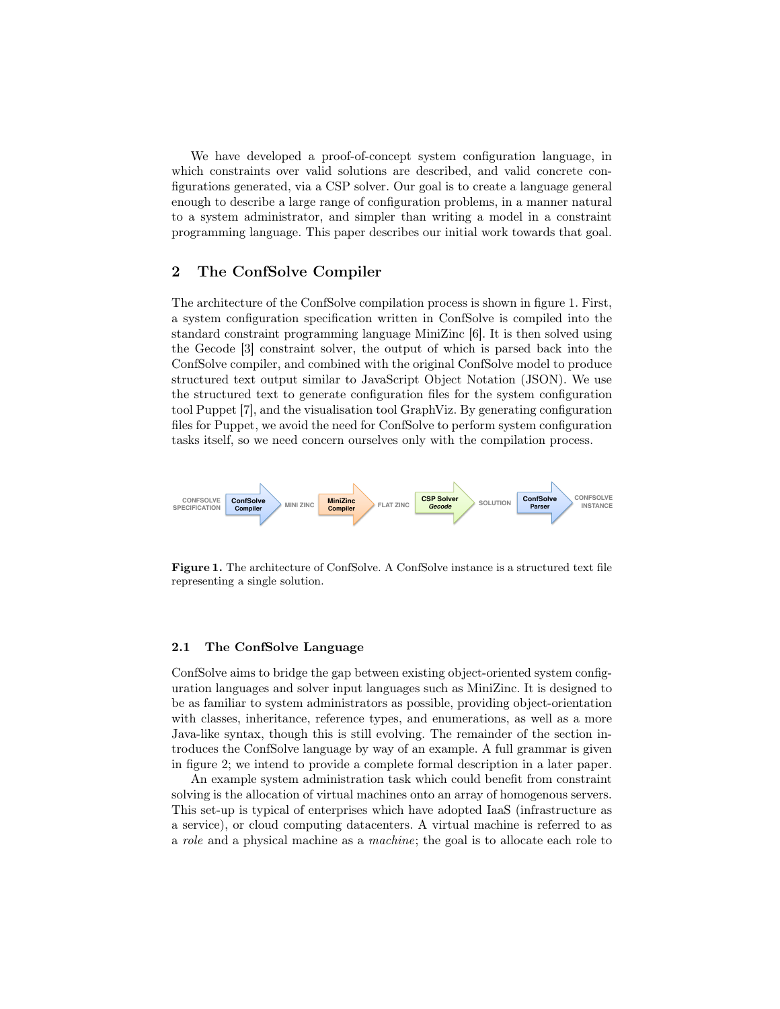We have developed a proof-of-concept system configuration language, in which constraints over valid solutions are described, and valid concrete configurations generated, via a CSP solver. Our goal is to create a language general enough to describe a large range of configuration problems, in a manner natural to a system administrator, and simpler than writing a model in a constraint programming language. This paper describes our initial work towards that goal.

## 2 The ConfSolve Compiler

The architecture of the ConfSolve compilation process is shown in figure [1.](#page-1-0) First, a system configuration specification written in ConfSolve is compiled into the standard constraint programming language MiniZinc [\[6\]](#page-9-5). It is then solved using the Gecode [\[3\]](#page-9-6) constraint solver, the output of which is parsed back into the ConfSolve compiler, and combined with the original ConfSolve model to produce structured text output similar to JavaScript Object Notation (JSON). We use the structured text to generate configuration files for the system configuration tool Puppet [\[7\]](#page-9-1), and the visualisation tool GraphViz. By generating configuration files for Puppet, we avoid the need for ConfSolve to perform system configuration tasks itself, so we need concern ourselves only with the compilation process.



<span id="page-1-0"></span>Figure 1. The architecture of ConfSolve. A ConfSolve instance is a structured text file representing a single solution.

#### 2.1 The ConfSolve Language

ConfSolve aims to bridge the gap between existing object-oriented system configuration languages and solver input languages such as MiniZinc. It is designed to be as familiar to system administrators as possible, providing object-orientation with classes, inheritance, reference types, and enumerations, as well as a more Java-like syntax, though this is still evolving. The remainder of the section introduces the ConfSolve language by way of an example. A full grammar is given in figure [2;](#page-2-0) we intend to provide a complete formal description in a later paper.

An example system administration task which could benefit from constraint solving is the allocation of virtual machines onto an array of homogenous servers. This set-up is typical of enterprises which have adopted IaaS (infrastructure as a service), or cloud computing datacenters. A virtual machine is referred to as a *role* and a physical machine as a *machine*; the goal is to allocate each role to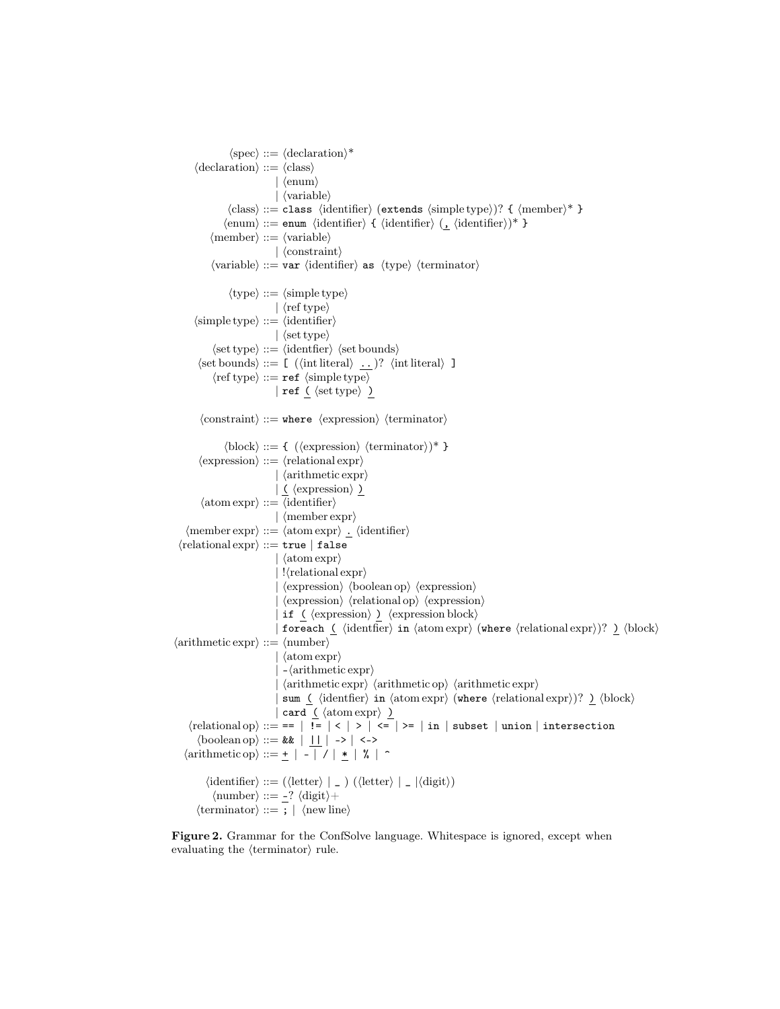$\langle spec \rangle ::= \langle declaration \rangle^*$  $\langle$  declaration $\rangle ::= \langle$ class $\rangle$  $|\langle \text{enum} \rangle$  $| \langle \text{variable} \rangle$  $\langle class \rangle ::= class \langle identifier \rangle$  (extends  $\langle simple type \rangle$ )? {  $\langle member \rangle^*$  }  $\langle \text{enum} \rangle ::= \text{enum} \langle \text{identifier} \rangle \{ \langle \text{identifier} \rangle (\underline{\bullet} \langle \text{identifier} \rangle)^* \}$  $\langle$ member $\rangle$  ::=  $\langle$ variable $\rangle$  $|\langle$  constraint $\rangle$  $\langle \text{variable} \rangle ::= \text{var} \langle \text{identifier} \rangle$  as  $\langle \text{type} \rangle \langle \text{terminator} \rangle$  $\langle \text{type} \rangle ::= \langle \text{simple type} \rangle$  $\vert \langle \text{ref type} \rangle$  $\langle$ simple type $\rangle$  ::=  $\langle$ identifier $\rangle$  $|\langle \text{set type} \rangle$  $\langle set type \rangle ::= \langle identifier \rangle \langle set bounds \rangle$  $\langle \text{set bounds} \rangle ::= \left[ \begin{array}{ccc} \langle \text{int literal} \rangle & \underline{\ldots} \end{array} \right] \rangle \hspace{3mm} \langle \text{int literal} \rangle \hspace{3mm} \underline{\hspace{3mm}}$  $\langle {\rm ref \ type} \rangle ::= {\tt ref \ } \langle {\rm simple \ type} \rangle$ | ref  $\left( \text{ } \langle \text{set type} \rangle \right)$  $\langle$ constraint $\rangle$  ::= where  $\langle$ expression $\rangle$   $\langle$ terminator $\rangle$  $\langle \text{block} \rangle ::= \{ (\langle \text{expression} \rangle \langle \text{terminator} \rangle)^* \}$  $\langle$  expression $\rangle ::= \langle$  relational expr $\rangle$  $\vert$   $\langle$  arithmetic expr $\rangle$  $\vert \underline{\zeta} \rangle$  (expression)  $\underline{\zeta}$  $\langle \text{atom expr} \rangle ::= \langle \text{identifier} \rangle$  $\vert$   $\langle$  member expr $\rangle$  $\langle$ member expr $\rangle ::= \langle$ atom expr $\rangle$ .  $\langle$ identifier $\rangle$  $\langle$ relational expr $\rangle ::=$ true | false  $\vert$  (atom expr) |  $\langle$  relational expr $\rangle$ |  $\langle$ expression $\rangle$   $\langle$ boolean op $\rangle$   $\langle$ expression $\rangle$ |  $\langle$  expression $\rangle$   $\langle$  relational op $\rangle$   $\langle$  expression $\rangle$ | if  $\langle$  (expression)  $\rangle$  \expression block) | foreach (  $\langle$  identfier $\rangle$  in  $\langle$  atom expr $\rangle$  (where  $\langle$  relational expr $\rangle$ )?  $\rangle$   $\langle$  block $\rangle$  $\langle$ arithmetic expr $\rangle ::= \langle$ number $\rangle$  $\vert \langle \text{atom expr} \rangle$  $\vert -\langle \text{arithmetic expr} \rangle$  $\vert$   $\langle$  arithmetic expr $\rangle$   $\langle$  arithmetic op $\rangle$   $\langle$  arithmetic expr $\rangle$ sum (  $\langle$  identfier $\rangle$  in  $\langle$  atom expr $\rangle$  (where  $\langle$  relational expr $\rangle$ )?  $\rangle$   $\langle$  block $\rangle$ | card  $\left( \frac{\text{atom} \exp r}{\text{d} t} \right)$  $\langle$  relational op $\rangle ::=$  == | !=  $| \langle | \rangle | \langle | \rangle |$  <= | >= | in | subset | union | intersection  $\langle \text{boolean op} \rangle ::= \& \& \mid \underline{\text{II}} \mid \rightarrow \mid \langle \text{-&} \rangle$  $\langle \text{arithmetic op} \rangle ::= \pm | - | / | * | \% | ^{\sim}$  $\langle$ identifier $\rangle ::= (\langle$ letter $\rangle \mid$  \_  $)$  ( $\langle$ letter $\rangle \mid$  \_  $|\langle$ digit $\rangle$ )  $\langle$ number $\rangle ::= -? \langle$ digit $\rangle +$  $\langle$ terminator $\rangle ::= ; | \langle$ new line $\rangle$ 

<span id="page-2-0"></span>Figure 2. Grammar for the ConfSolve language. Whitespace is ignored, except when evaluating the  $\langle$  terminator $\rangle$  rule.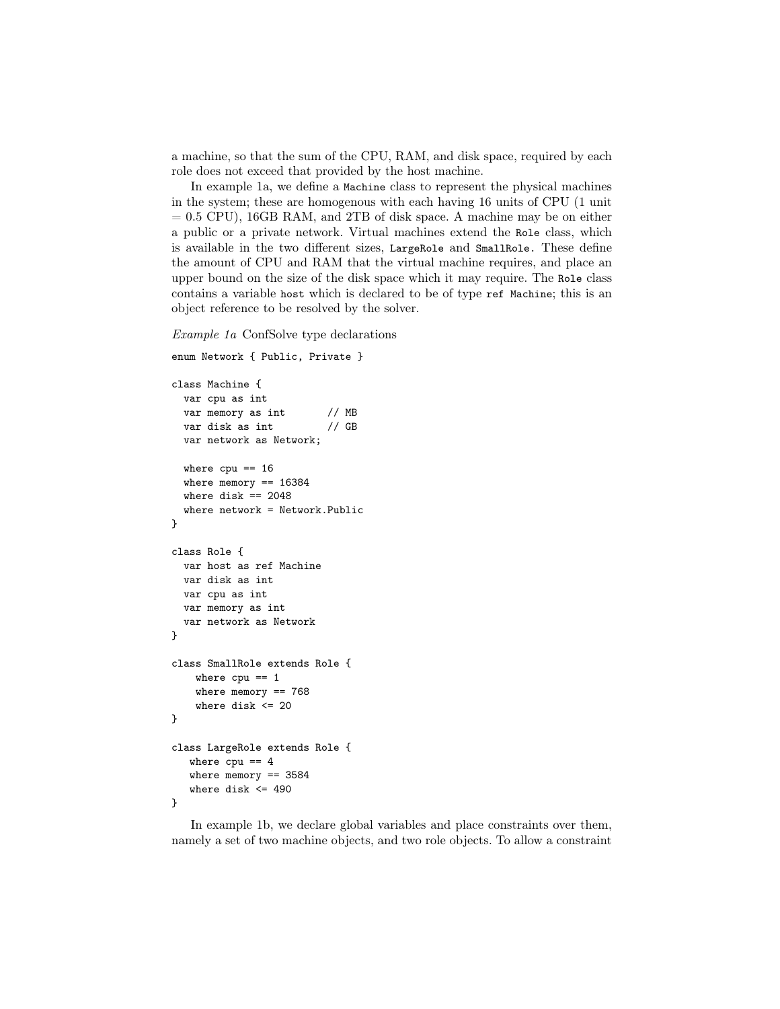a machine, so that the sum of the CPU, RAM, and disk space, required by each role does not exceed that provided by the host machine.

In example 1a, we define a Machine class to represent the physical machines in the system; these are homogenous with each having 16 units of CPU (1 unit  $= 0.5$  CPU), 16GB RAM, and 2TB of disk space. A machine may be on either a public or a private network. Virtual machines extend the Role class, which is available in the two different sizes, LargeRole and SmallRole. These define the amount of CPU and RAM that the virtual machine requires, and place an upper bound on the size of the disk space which it may require. The Role class contains a variable host which is declared to be of type ref Machine; this is an object reference to be resolved by the solver.

*Example 1a* ConfSolve type declarations

enum Network { Public, Private }

```
class Machine {
 var cpu as int
 var memory as int // MB
 var disk as int // GB
 var network as Network;
 where cpu == 16where memory == 16384where disk == 2048where network = Network.Public
}
class Role {
 var host as ref Machine
 var disk as int
 var cpu as int
 var memory as int
 var network as Network
}
class SmallRole extends Role {
   where cpu == 1where memory == 768
   where disk <= 20
}
class LargeRole extends Role {
  where cpu == 4where memory == 3584
  where disk <= 490
}
```
In example 1b, we declare global variables and place constraints over them, namely a set of two machine objects, and two role objects. To allow a constraint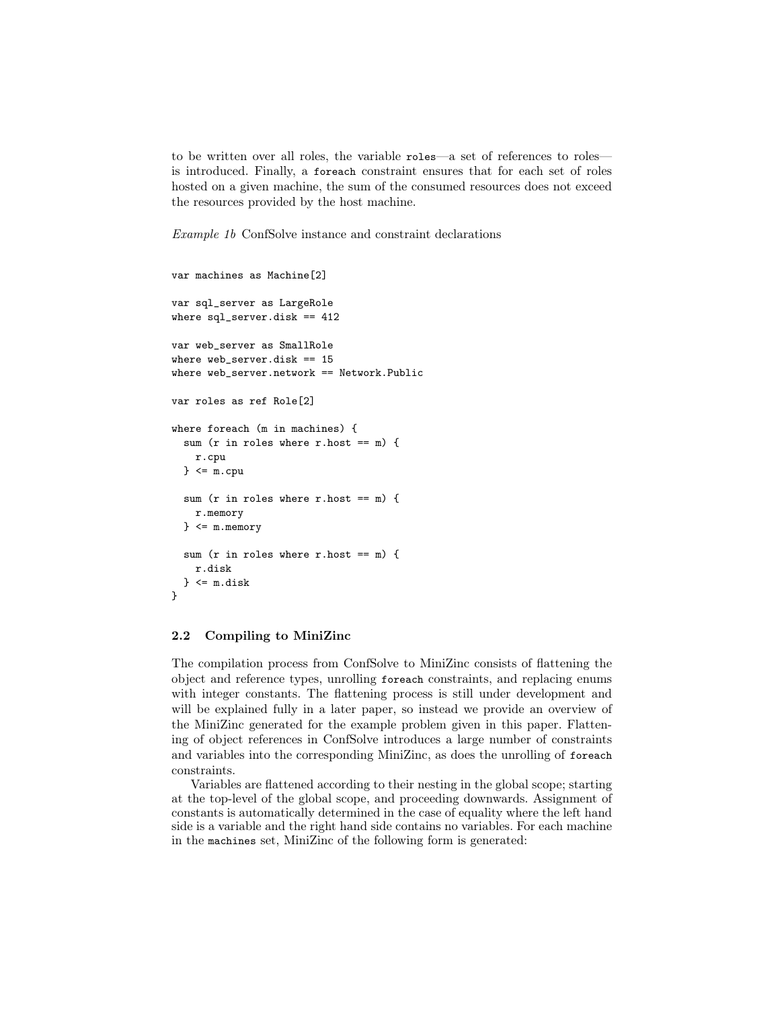to be written over all roles, the variable roles—a set of references to roles is introduced. Finally, a foreach constraint ensures that for each set of roles hosted on a given machine, the sum of the consumed resources does not exceed the resources provided by the host machine.

*Example 1b* ConfSolve instance and constraint declarations

```
var machines as Machine[2]
var sql_server as LargeRole
where sql_server.disk == 412
var web_server as SmallRole
where web_server.disk == 15
where web_server.network == Network.Public
var roles as ref Role[2]
where foreach (m in machines) {
 sum (r in roles where r.host == m) {
   r.cpu
 \} <= m.cpusum (r in roles where r.host == m) {
   r.memory
 } <= m.memory
 sum (r in roles where r.host == m) {
   r.disk
 \} <= m.disk}
```
### 2.2 Compiling to MiniZinc

The compilation process from ConfSolve to MiniZinc consists of flattening the object and reference types, unrolling foreach constraints, and replacing enums with integer constants. The flattening process is still under development and will be explained fully in a later paper, so instead we provide an overview of the MiniZinc generated for the example problem given in this paper. Flattening of object references in ConfSolve introduces a large number of constraints and variables into the corresponding MiniZinc, as does the unrolling of foreach constraints.

Variables are flattened according to their nesting in the global scope; starting at the top-level of the global scope, and proceeding downwards. Assignment of constants is automatically determined in the case of equality where the left hand side is a variable and the right hand side contains no variables. For each machine in the machines set, MiniZinc of the following form is generated: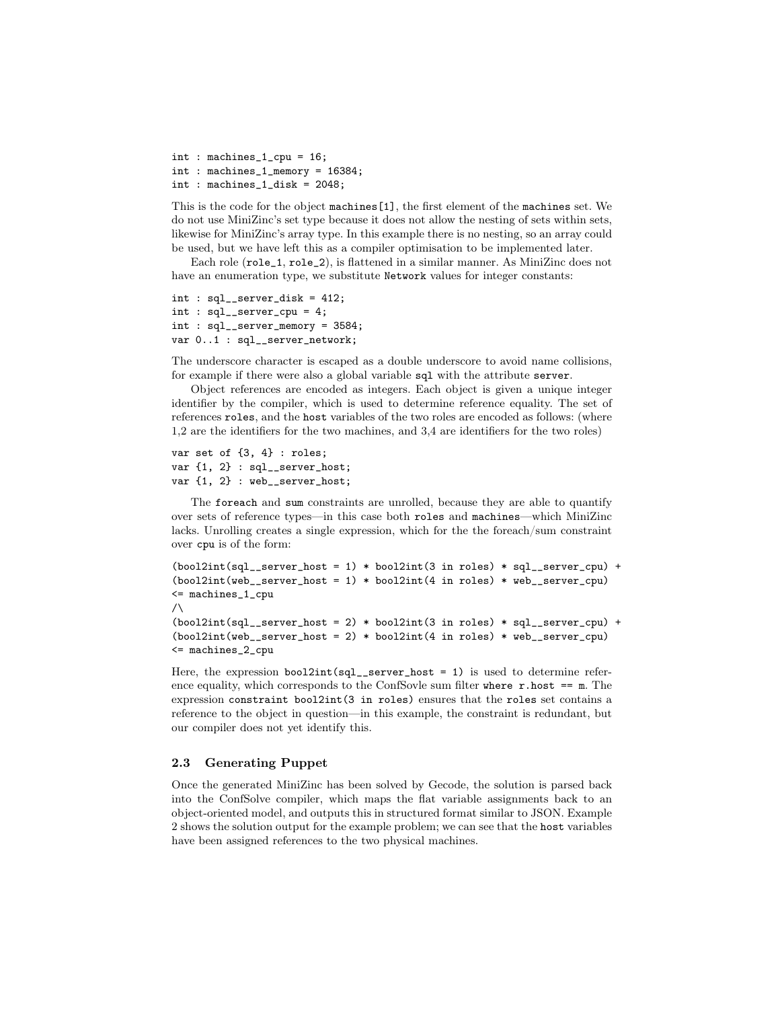int : machines\_1\_cpu = 16; int : machines\_1\_memory = 16384; int : machines\_1\_disk = 2048;

This is the code for the object machines[1], the first element of the machines set. We do not use MiniZinc's set type because it does not allow the nesting of sets within sets, likewise for MiniZinc's array type. In this example there is no nesting, so an array could be used, but we have left this as a compiler optimisation to be implemented later.

Each role (role\_1, role\_2), is flattened in a similar manner. As MiniZinc does not have an enumeration type, we substitute Network values for integer constants:

```
int : sql__server_disk = 412;
int : sql__server_cpu = 4;
int : sql__server_memory = 3584;
var 0..1 : sql__server_network;
```
The underscore character is escaped as a double underscore to avoid name collisions, for example if there were also a global variable sql with the attribute server.

Object references are encoded as integers. Each object is given a unique integer identifier by the compiler, which is used to determine reference equality. The set of references roles, and the host variables of the two roles are encoded as follows: (where 1,2 are the identifiers for the two machines, and 3,4 are identifiers for the two roles)

```
var set of {3, 4} : roles;
var \{1, 2\} : sql__server_host;
var {1, 2} : web__server_host;
```
The foreach and sum constraints are unrolled, because they are able to quantify over sets of reference types—in this case both roles and machines—which MiniZinc lacks. Unrolling creates a single expression, which for the the foreach/sum constraint over cpu is of the form:

```
(bool2int(sql\_server\_host = 1) * bool2int(3 in roles) * sql\_server\_cpu) +(bool2int(web\_server\_host = 1) * bool2int(4 in roles) * web\_server\_cpu)<= machines_1_cpu
\sqrt{}(bool2int(sql\_server\_host = 2) * bool2int(3 in roles) * sql\_server\_cpu) +(bool2int(web\_server\_host = 2) * bool2int(4 in roles) * web\_server\_cpu)<= machines_2_cpu
```
Here, the expression bool2int( $sql$ <sub>-server\_host</sub> = 1) is used to determine reference equality, which corresponds to the ConfSovle sum filter where  $r.$  host  $==$  m. The expression constraint bool2int(3 in roles) ensures that the roles set contains a reference to the object in question—in this example, the constraint is redundant, but our compiler does not yet identify this.

#### 2.3 Generating Puppet

Once the generated MiniZinc has been solved by Gecode, the solution is parsed back into the ConfSolve compiler, which maps the flat variable assignments back to an object-oriented model, and outputs this in structured format similar to JSON. Example 2 shows the solution output for the example problem; we can see that the host variables have been assigned references to the two physical machines.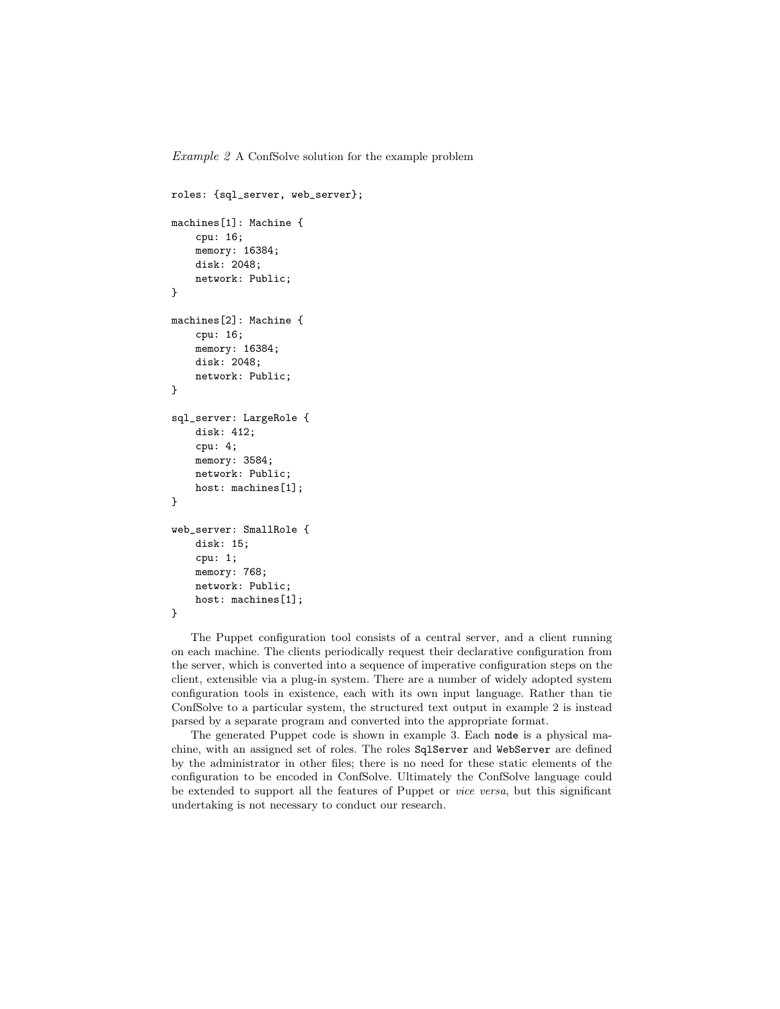*Example 2* A ConfSolve solution for the example problem

```
roles: {sql_server, web_server};
machines[1]: Machine {
    cpu: 16;
    memory: 16384;
    disk: 2048;
    network: Public;
}
machines[2]: Machine {
    cpu: 16;
    memory: 16384;
    disk: 2048;
    network: Public;
}
sql_server: LargeRole {
    disk: 412;
    cpu: 4;
    memory: 3584;
    network: Public;
    host: machines[1];
}
web_server: SmallRole {
    disk: 15;
    cpu: 1;
    memory: 768;
    network: Public;
    host: machines[1];
}
```
The Puppet configuration tool consists of a central server, and a client running on each machine. The clients periodically request their declarative configuration from the server, which is converted into a sequence of imperative configuration steps on the client, extensible via a plug-in system. There are a number of widely adopted system configuration tools in existence, each with its own input language. Rather than tie ConfSolve to a particular system, the structured text output in example 2 is instead parsed by a separate program and converted into the appropriate format.

The generated Puppet code is shown in example 3. Each node is a physical machine, with an assigned set of roles. The roles SqlServer and WebServer are defined by the administrator in other files; there is no need for these static elements of the configuration to be encoded in ConfSolve. Ultimately the ConfSolve language could be extended to support all the features of Puppet or *vice versa*, but this significant undertaking is not necessary to conduct our research.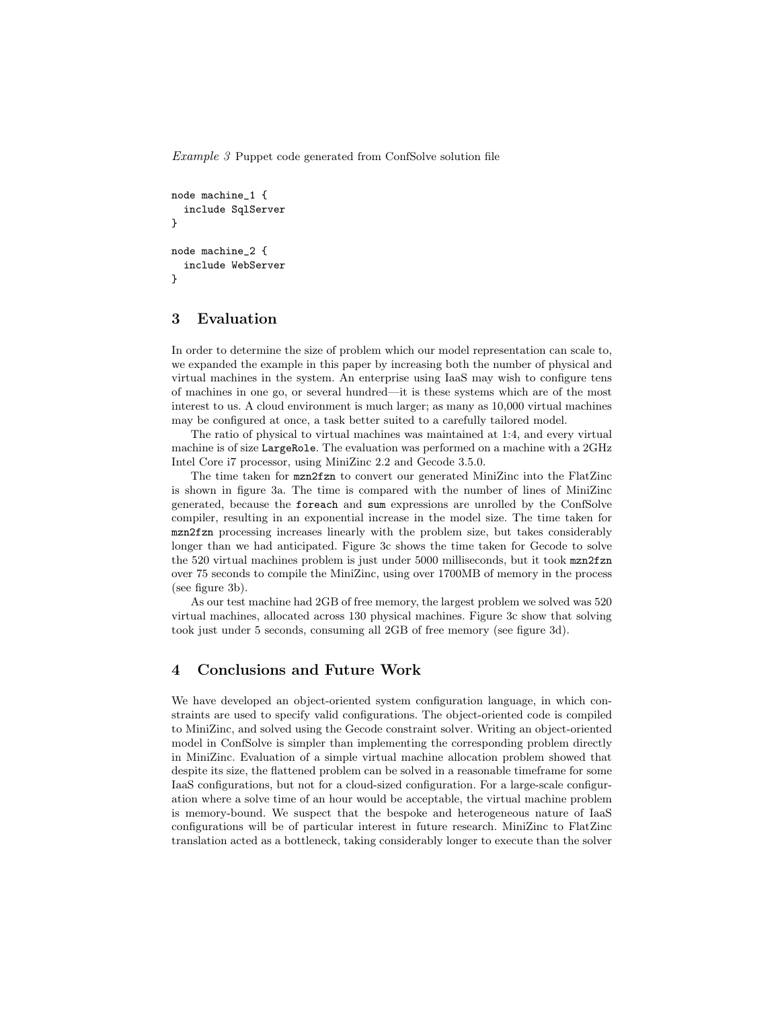*Example 3* Puppet code generated from ConfSolve solution file

```
node machine_1 {
  include SqlServer
}
node machine_2 {
  include WebServer
}
```
## 3 Evaluation

In order to determine the size of problem which our model representation can scale to, we expanded the example in this paper by increasing both the number of physical and virtual machines in the system. An enterprise using IaaS may wish to configure tens of machines in one go, or several hundred—it is these systems which are of the most interest to us. A cloud environment is much larger; as many as 10,000 virtual machines may be configured at once, a task better suited to a carefully tailored model.

The ratio of physical to virtual machines was maintained at 1:4, and every virtual machine is of size LargeRole. The evaluation was performed on a machine with a 2GHz Intel Core i7 processor, using MiniZinc 2.2 and Gecode 3.5.0.

The time taken for mzn2fzn to convert our generated MiniZinc into the FlatZinc is shown in figure [3a](#page-8-0). The time is compared with the number of lines of MiniZinc generated, because the foreach and sum expressions are unrolled by the ConfSolve compiler, resulting in an exponential increase in the model size. The time taken for mzn2fzn processing increases linearly with the problem size, but takes considerably longer than we had anticipated. Figure [3c](#page-8-0) shows the time taken for Gecode to solve the 520 virtual machines problem is just under 5000 milliseconds, but it took mzn2fzn over 75 seconds to compile the MiniZinc, using over 1700MB of memory in the process (see figure [3b](#page-8-0)).

As our test machine had 2GB of free memory, the largest problem we solved was 520 virtual machines, allocated across 130 physical machines. Figure [3c](#page-8-0) show that solving took just under 5 seconds, consuming all 2GB of free memory (see figure [3d](#page-8-0)).

## 4 Conclusions and Future Work

We have developed an object-oriented system configuration language, in which constraints are used to specify valid configurations. The object-oriented code is compiled to MiniZinc, and solved using the Gecode constraint solver. Writing an object-oriented model in ConfSolve is simpler than implementing the corresponding problem directly in MiniZinc. Evaluation of a simple virtual machine allocation problem showed that despite its size, the flattened problem can be solved in a reasonable timeframe for some IaaS configurations, but not for a cloud-sized configuration. For a large-scale configuration where a solve time of an hour would be acceptable, the virtual machine problem is memory-bound. We suspect that the bespoke and heterogeneous nature of IaaS configurations will be of particular interest in future research. MiniZinc to FlatZinc translation acted as a bottleneck, taking considerably longer to execute than the solver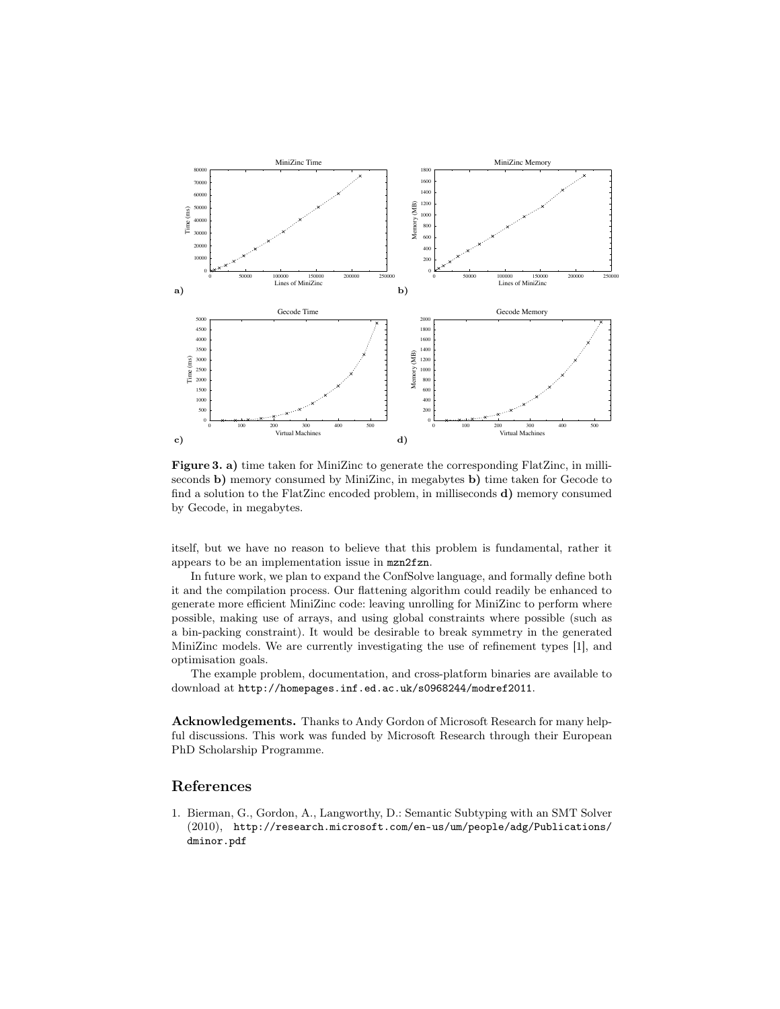

<span id="page-8-0"></span>Figure 3. a) time taken for MiniZinc to generate the corresponding FlatZinc, in milliseconds b) memory consumed by MiniZinc, in megabytes b) time taken for Gecode to find a solution to the FlatZinc encoded problem, in milliseconds d) memory consumed by Gecode, in megabytes.

itself, but we have no reason to believe that this problem is fundamental, rather it appears to be an implementation issue in mzn2fzn.

In future work, we plan to expand the ConfSolve language, and formally define both it and the compilation process. Our flattening algorithm could readily be enhanced to generate more efficient MiniZinc code: leaving unrolling for MiniZinc to perform where possible, making use of arrays, and using global constraints where possible (such as a bin-packing constraint). It would be desirable to break symmetry in the generated MiniZinc models. We are currently investigating the use of refinement types [\[1\]](#page-8-1), and optimisation goals.

The example problem, documentation, and cross-platform binaries are available to download at <http://homepages.inf.ed.ac.uk/s0968244/modref2011>.

Acknowledgements. Thanks to Andy Gordon of Microsoft Research for many helpful discussions. This work was funded by Microsoft Research through their European PhD Scholarship Programme.

## References

<span id="page-8-1"></span>1. Bierman, G., Gordon, A., Langworthy, D.: Semantic Subtyping with an SMT Solver (2010), [http://research.microsoft.com/en-us/um/people/adg/Publications/](http://research.microsoft.com/en-us/um/people/adg/Publications/dminor.pdf) [dminor.pdf](http://research.microsoft.com/en-us/um/people/adg/Publications/dminor.pdf)